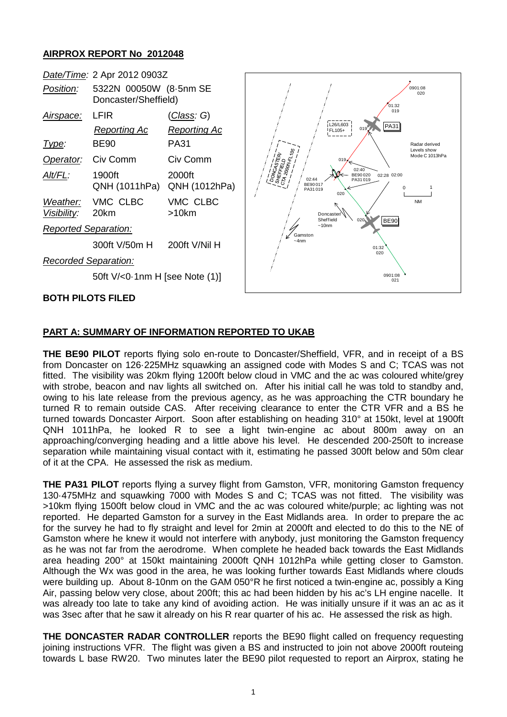## **AIRPROX REPORT No 2012048**



## **PART A: SUMMARY OF INFORMATION REPORTED TO UKAB**

**THE BE90 PILOT** reports flying solo en-route to Doncaster/Sheffield, VFR, and in receipt of a BS from Doncaster on 126·225MHz squawking an assigned code with Modes S and C; TCAS was not fitted. The visibility was 20km flying 1200ft below cloud in VMC and the ac was coloured white/grey with strobe, beacon and nav lights all switched on. After his initial call he was told to standby and, owing to his late release from the previous agency, as he was approaching the CTR boundary he turned R to remain outside CAS. After receiving clearance to enter the CTR VFR and a BS he turned towards Doncaster Airport. Soon after establishing on heading 310° at 150kt, level at 1900ft QNH 1011hPa, he looked R to see a light twin-engine ac about 800m away on an approaching/converging heading and a little above his level. He descended 200-250ft to increase separation while maintaining visual contact with it, estimating he passed 300ft below and 50m clear of it at the CPA. He assessed the risk as medium.

**THE PA31 PILOT** reports flying a survey flight from Gamston, VFR, monitoring Gamston frequency 130·475MHz and squawking 7000 with Modes S and C; TCAS was not fitted. The visibility was >10km flying 1500ft below cloud in VMC and the ac was coloured white/purple; ac lighting was not reported. He departed Gamston for a survey in the East Midlands area. In order to prepare the ac for the survey he had to fly straight and level for 2min at 2000ft and elected to do this to the NE of Gamston where he knew it would not interfere with anybody, just monitoring the Gamston frequency as he was not far from the aerodrome. When complete he headed back towards the East Midlands area heading 200° at 150kt maintaining 2000ft QNH 1012hPa while getting closer to Gamston. Although the Wx was good in the area, he was looking further towards East Midlands where clouds were building up. About 8-10nm on the GAM 050°R he first noticed a twin-engine ac, possibly a King Air, passing below very close, about 200ft; this ac had been hidden by his ac's LH engine nacelle. It was already too late to take any kind of avoiding action. He was initially unsure if it was an ac as it was 3sec after that he saw it already on his R rear quarter of his ac. He assessed the risk as high.

**THE DONCASTER RADAR CONTROLLER** reports the BE90 flight called on frequency requesting joining instructions VFR. The flight was given a BS and instructed to join not above 2000ft routeing towards L base RW20. Two minutes later the BE90 pilot requested to report an Airprox, stating he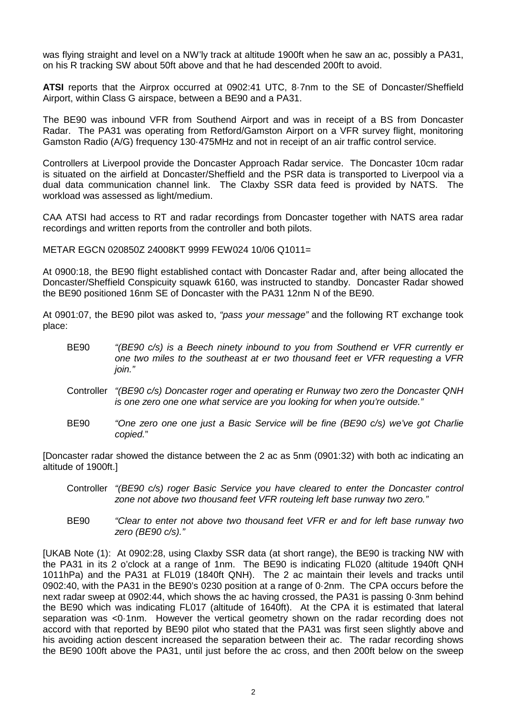was flying straight and level on a NW'ly track at altitude 1900ft when he saw an ac, possibly a PA31, on his R tracking SW about 50ft above and that he had descended 200ft to avoid.

**ATSI** reports that the Airprox occurred at 0902:41 UTC, 8·7nm to the SE of Doncaster/Sheffield Airport, within Class G airspace, between a BE90 and a PA31.

The BE90 was inbound VFR from Southend Airport and was in receipt of a BS from Doncaster Radar. The PA31 was operating from Retford/Gamston Airport on a VFR survey flight, monitoring Gamston Radio (A/G) frequency 130·475MHz and not in receipt of an air traffic control service.

Controllers at Liverpool provide the Doncaster Approach Radar service. The Doncaster 10cm radar is situated on the airfield at Doncaster/Sheffield and the PSR data is transported to Liverpool via a dual data communication channel link. The Claxby SSR data feed is provided by NATS. The workload was assessed as light/medium.

CAA ATSI had access to RT and radar recordings from Doncaster together with NATS area radar recordings and written reports from the controller and both pilots.

METAR EGCN 020850Z 24008KT 9999 FEW024 10/06 Q1011=

At 0900:18, the BE90 flight established contact with Doncaster Radar and, after being allocated the Doncaster/Sheffield Conspicuity squawk 6160, was instructed to standby. Doncaster Radar showed the BE90 positioned 16nm SE of Doncaster with the PA31 12nm N of the BE90.

At 0901:07, the BE90 pilot was asked to, *"pass your message"* and the following RT exchange took place:

- BE90 *"(BE90 c/s) is a Beech ninety inbound to you from Southend er VFR currently er one two miles to the southeast at er two thousand feet er VFR requesting a VFR join."*
- Controller *"(BE90 c/s) Doncaster roger and operating er Runway two zero the Doncaster QNH is one zero one one what service are you looking for when you're outside."*
- BE90 *"One zero one one just a Basic Service will be fine (BE90 c/s) we've got Charlie copied.*"

[Doncaster radar showed the distance between the 2 ac as 5nm (0901:32) with both ac indicating an altitude of 1900ft.]

- Controller *"(BE90 c/s) roger Basic Service you have cleared to enter the Doncaster control zone not above two thousand feet VFR routeing left base runway two zero."*
- BE90 *"Clear to enter not above two thousand feet VFR er and for left base runway two zero (BE90 c/s)."*

[UKAB Note (1): At 0902:28, using Claxby SSR data (at short range), the BE90 is tracking NW with the PA31 in its 2 o'clock at a range of 1nm. The BE90 is indicating FL020 (altitude 1940ft QNH 1011hPa) and the PA31 at FL019 (1840ft QNH). The 2 ac maintain their levels and tracks until 0902:40, with the PA31 in the BE90's 0230 position at a range of 0·2nm. The CPA occurs before the next radar sweep at 0902:44, which shows the ac having crossed, the PA31 is passing 0·3nm behind the BE90 which was indicating FL017 (altitude of 1640ft). At the CPA it is estimated that lateral separation was <0·1nm. However the vertical geometry shown on the radar recording does not accord with that reported by BE90 pilot who stated that the PA31 was first seen slightly above and his avoiding action descent increased the separation between their ac. The radar recording shows the BE90 100ft above the PA31, until just before the ac cross, and then 200ft below on the sweep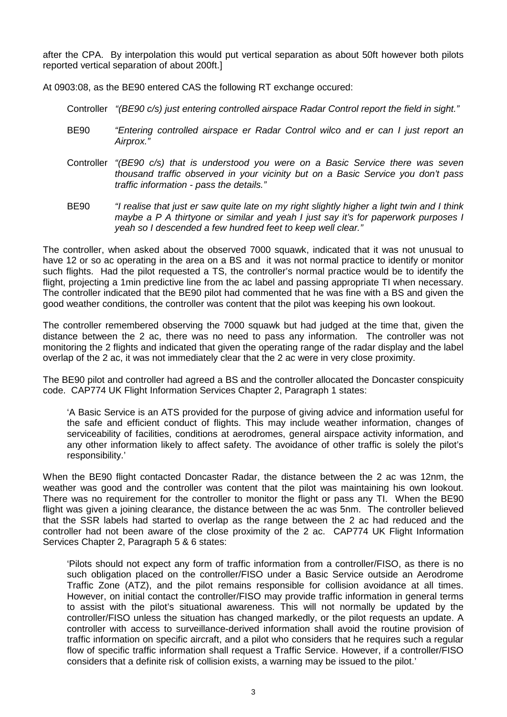after the CPA. By interpolation this would put vertical separation as about 50ft however both pilots reported vertical separation of about 200ft.]

At 0903:08, as the BE90 entered CAS the following RT exchange occured:

Controller *"(BE90 c/s) just entering controlled airspace Radar Control report the field in sight."*

- BE90 *"Entering controlled airspace er Radar Control wilco and er can I just report an Airprox."*
- Controller *"(BE90 c/s) that is understood you were on a Basic Service there was seven thousand traffic observed in your vicinity but on a Basic Service you don't pass traffic information - pass the details."*
- BE90 *"I realise that just er saw quite late on my right slightly higher a light twin and I think maybe a P A thirtyone or similar and yeah I just say it's for paperwork purposes I yeah so I descended a few hundred feet to keep well clear."*

The controller, when asked about the observed 7000 squawk, indicated that it was not unusual to have 12 or so ac operating in the area on a BS and it was not normal practice to identify or monitor such flights. Had the pilot requested a TS, the controller's normal practice would be to identify the flight, projecting a 1min predictive line from the ac label and passing appropriate TI when necessary. The controller indicated that the BE90 pilot had commented that he was fine with a BS and given the good weather conditions, the controller was content that the pilot was keeping his own lookout.

The controller remembered observing the 7000 squawk but had judged at the time that, given the distance between the 2 ac, there was no need to pass any information. The controller was not monitoring the 2 flights and indicated that given the operating range of the radar display and the label overlap of the 2 ac, it was not immediately clear that the 2 ac were in very close proximity.

The BE90 pilot and controller had agreed a BS and the controller allocated the Doncaster conspicuity code. CAP774 UK Flight Information Services Chapter 2, Paragraph 1 states:

'A Basic Service is an ATS provided for the purpose of giving advice and information useful for the safe and efficient conduct of flights. This may include weather information, changes of serviceability of facilities, conditions at aerodromes, general airspace activity information, and any other information likely to affect safety. The avoidance of other traffic is solely the pilot's responsibility.'

When the BE90 flight contacted Doncaster Radar, the distance between the 2 ac was 12nm, the weather was good and the controller was content that the pilot was maintaining his own lookout. There was no requirement for the controller to monitor the flight or pass any TI. When the BE90 flight was given a joining clearance, the distance between the ac was 5nm. The controller believed that the SSR labels had started to overlap as the range between the 2 ac had reduced and the controller had not been aware of the close proximity of the 2 ac. CAP774 UK Flight Information Services Chapter 2, Paragraph 5 & 6 states:

'Pilots should not expect any form of traffic information from a controller/FISO, as there is no such obligation placed on the controller/FISO under a Basic Service outside an Aerodrome Traffic Zone (ATZ), and the pilot remains responsible for collision avoidance at all times. However, on initial contact the controller/FISO may provide traffic information in general terms to assist with the pilot's situational awareness. This will not normally be updated by the controller/FISO unless the situation has changed markedly, or the pilot requests an update. A controller with access to surveillance-derived information shall avoid the routine provision of traffic information on specific aircraft, and a pilot who considers that he requires such a regular flow of specific traffic information shall request a Traffic Service. However, if a controller/FISO considers that a definite risk of collision exists, a warning may be issued to the pilot.'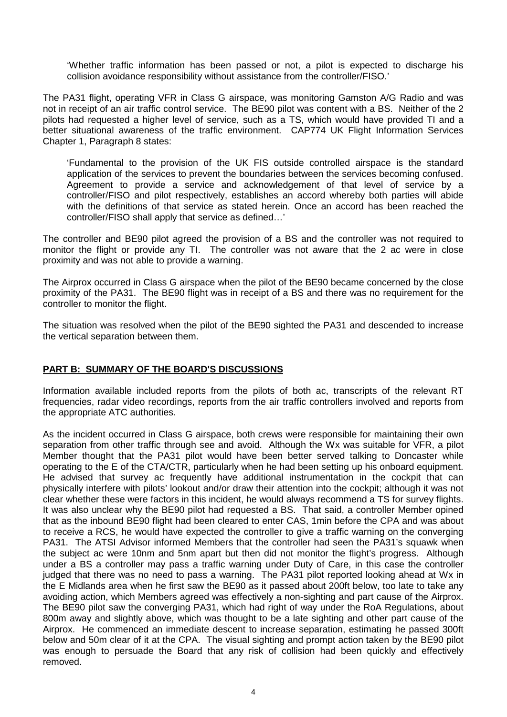'Whether traffic information has been passed or not, a pilot is expected to discharge his collision avoidance responsibility without assistance from the controller/FISO.'

The PA31 flight, operating VFR in Class G airspace, was monitoring Gamston A/G Radio and was not in receipt of an air traffic control service. The BE90 pilot was content with a BS. Neither of the 2 pilots had requested a higher level of service, such as a TS, which would have provided TI and a better situational awareness of the traffic environment. CAP774 UK Flight Information Services Chapter 1, Paragraph 8 states:

'Fundamental to the provision of the UK FIS outside controlled airspace is the standard application of the services to prevent the boundaries between the services becoming confused. Agreement to provide a service and acknowledgement of that level of service by a controller/FISO and pilot respectively, establishes an accord whereby both parties will abide with the definitions of that service as stated herein. Once an accord has been reached the controller/FISO shall apply that service as defined…'

The controller and BE90 pilot agreed the provision of a BS and the controller was not required to monitor the flight or provide any TI. The controller was not aware that the 2 ac were in close proximity and was not able to provide a warning.

The Airprox occurred in Class G airspace when the pilot of the BE90 became concerned by the close proximity of the PA31. The BE90 flight was in receipt of a BS and there was no requirement for the controller to monitor the flight.

The situation was resolved when the pilot of the BE90 sighted the PA31 and descended to increase the vertical separation between them.

## **PART B: SUMMARY OF THE BOARD'S DISCUSSIONS**

Information available included reports from the pilots of both ac, transcripts of the relevant RT frequencies, radar video recordings, reports from the air traffic controllers involved and reports from the appropriate ATC authorities.

As the incident occurred in Class G airspace, both crews were responsible for maintaining their own separation from other traffic through see and avoid. Although the Wx was suitable for VFR, a pilot Member thought that the PA31 pilot would have been better served talking to Doncaster while operating to the E of the CTA/CTR, particularly when he had been setting up his onboard equipment. He advised that survey ac frequently have additional instrumentation in the cockpit that can physically interfere with pilots' lookout and/or draw their attention into the cockpit; although it was not clear whether these were factors in this incident, he would always recommend a TS for survey flights. It was also unclear why the BE90 pilot had requested a BS. That said, a controller Member opined that as the inbound BE90 flight had been cleared to enter CAS, 1min before the CPA and was about to receive a RCS, he would have expected the controller to give a traffic warning on the converging PA31. The ATSI Advisor informed Members that the controller had seen the PA31's squawk when the subject ac were 10nm and 5nm apart but then did not monitor the flight's progress. Although under a BS a controller may pass a traffic warning under Duty of Care, in this case the controller judged that there was no need to pass a warning. The PA31 pilot reported looking ahead at Wx in the E Midlands area when he first saw the BE90 as it passed about 200ft below, too late to take any avoiding action, which Members agreed was effectively a non-sighting and part cause of the Airprox. The BE90 pilot saw the converging PA31, which had right of way under the RoA Regulations, about 800m away and slightly above, which was thought to be a late sighting and other part cause of the Airprox. He commenced an immediate descent to increase separation, estimating he passed 300ft below and 50m clear of it at the CPA. The visual sighting and prompt action taken by the BE90 pilot was enough to persuade the Board that any risk of collision had been quickly and effectively removed.